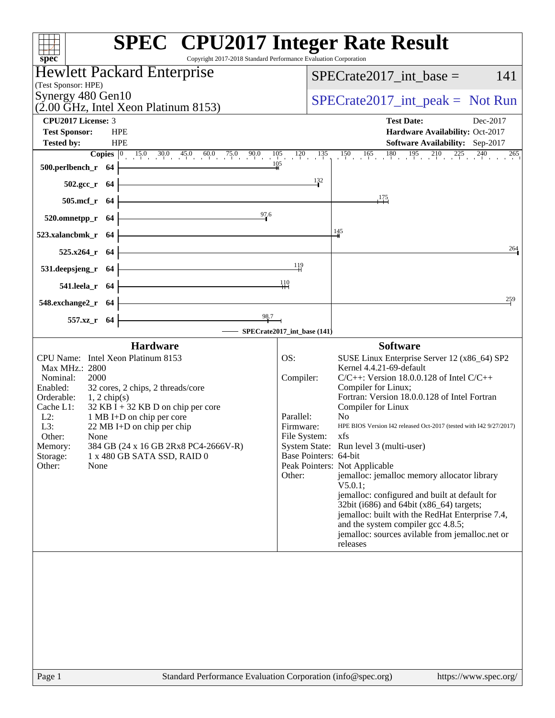| <b>SPEC<sup>®</sup></b> CPU2017 Integer Rate Result<br>Copyright 2017-2018 Standard Performance Evaluation Corporation<br>spec® |                                                                                                                                                                                                |
|---------------------------------------------------------------------------------------------------------------------------------|------------------------------------------------------------------------------------------------------------------------------------------------------------------------------------------------|
| <b>Hewlett Packard Enterprise</b>                                                                                               | $SPECrate2017\_int\_base =$<br>141                                                                                                                                                             |
| (Test Sponsor: HPE)                                                                                                             |                                                                                                                                                                                                |
| Synergy 480 Gen10<br>$(2.00 \text{ GHz}, \text{Intel Xeon Platinum } 8153)$                                                     | $SPECrate2017\_int\_peak = Not Run$                                                                                                                                                            |
| <b>CPU2017 License: 3</b>                                                                                                       | <b>Test Date:</b><br>Dec-2017                                                                                                                                                                  |
| <b>HPE</b><br><b>Test Sponsor:</b><br><b>HPE</b>                                                                                | Hardware Availability: Oct-2017                                                                                                                                                                |
| <b>Tested by:</b>                                                                                                               | Software Availability: Sep-2017<br><b>Copies</b> $\begin{bmatrix} 0 & 15.0 & 30.0 & 45.0 & 60.0 & 75.0 & 90.0 & 105 & 120 & 135 & 150 & 165 & 180 & 195 & 210 & 225 & 240 & 265 \end{bmatrix}$ |
| 105<br>500.perlbench_r 64                                                                                                       |                                                                                                                                                                                                |
| $502.\text{gcc}_r$ 64                                                                                                           | 132                                                                                                                                                                                            |
| 505.mcf_r 64                                                                                                                    | 175                                                                                                                                                                                            |
| 97.6<br>520.omnetpp_r 64                                                                                                        |                                                                                                                                                                                                |
| 523.xalancbmk_r 64                                                                                                              | $\frac{145}{1}$                                                                                                                                                                                |
| 525.x264_r 64                                                                                                                   | 264                                                                                                                                                                                            |
| 531.deepsjeng_r 64                                                                                                              | 119                                                                                                                                                                                            |
| 541.leela_r 64                                                                                                                  | -110                                                                                                                                                                                           |
| 548.exchange2_r 64                                                                                                              | 259                                                                                                                                                                                            |
| 98.7<br>557.xz_r 64                                                                                                             |                                                                                                                                                                                                |
|                                                                                                                                 | SPECrate2017_int_base (141)                                                                                                                                                                    |
| <b>Hardware</b>                                                                                                                 | <b>Software</b>                                                                                                                                                                                |
| CPU Name: Intel Xeon Platinum 8153<br>Max MHz.: 2800                                                                            | OS:<br>SUSE Linux Enterprise Server 12 (x86_64) SP2<br>Kernel 4.4.21-69-default                                                                                                                |
| Nominal:<br>2000                                                                                                                | Compiler:<br>$C/C++$ : Version 18.0.0.128 of Intel $C/C++$                                                                                                                                     |
| Enabled:<br>32 cores, 2 chips, 2 threads/core                                                                                   | Compiler for Linux;                                                                                                                                                                            |
| Orderable:<br>$1, 2$ chip(s)<br>Cache L1:<br>$32$ KB I + 32 KB D on chip per core                                               | Fortran: Version 18.0.0.128 of Intel Fortran<br>Compiler for Linux                                                                                                                             |
| $L2$ :<br>1 MB I+D on chip per core                                                                                             | Parallel:<br>No.                                                                                                                                                                               |
| L3:<br>22 MB I+D on chip per chip<br>Other:<br>None                                                                             | HPE BIOS Version I42 released Oct-2017 (tested with I42 9/27/2017)<br>Firmware:<br>File System: xfs                                                                                            |
| 384 GB (24 x 16 GB 2Rx8 PC4-2666V-R)<br>Memory:                                                                                 | System State: Run level 3 (multi-user)                                                                                                                                                         |
| 1 x 480 GB SATA SSD, RAID 0<br>Storage:                                                                                         | Base Pointers: 64-bit                                                                                                                                                                          |
| Other:<br>None                                                                                                                  | Peak Pointers: Not Applicable<br>jemalloc: jemalloc memory allocator library<br>Other:                                                                                                         |
|                                                                                                                                 | $V5.0.1$ ;                                                                                                                                                                                     |
|                                                                                                                                 | jemalloc: configured and built at default for<br>32bit (i686) and 64bit (x86_64) targets;                                                                                                      |
|                                                                                                                                 | jemalloc: built with the RedHat Enterprise 7.4,                                                                                                                                                |
|                                                                                                                                 | and the system compiler gcc 4.8.5;<br>jemalloc: sources avilable from jemalloc.net or                                                                                                          |
|                                                                                                                                 | releases                                                                                                                                                                                       |
|                                                                                                                                 |                                                                                                                                                                                                |
|                                                                                                                                 |                                                                                                                                                                                                |
|                                                                                                                                 |                                                                                                                                                                                                |
|                                                                                                                                 |                                                                                                                                                                                                |
|                                                                                                                                 |                                                                                                                                                                                                |
|                                                                                                                                 |                                                                                                                                                                                                |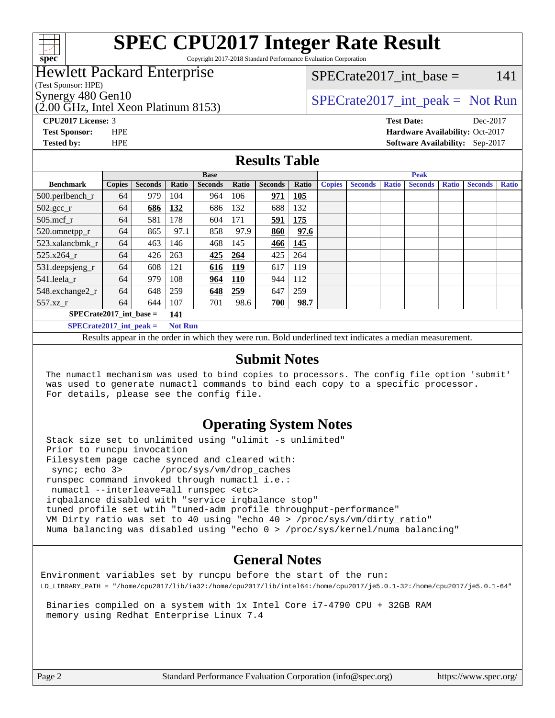

Copyright 2017-2018 Standard Performance Evaluation Corporation

## Hewlett Packard Enterprise

(Test Sponsor: HPE)

(2.00 GHz, Intel Xeon Platinum 8153)

 $SPECTate2017\_int\_base = 141$ 

## Synergy 480 Gen10  $SPECrate2017$ \_int\_peak = Not Run

**[Tested by:](http://www.spec.org/auto/cpu2017/Docs/result-fields.html#Testedby)** HPE **[Software Availability:](http://www.spec.org/auto/cpu2017/Docs/result-fields.html#SoftwareAvailability)** Sep-2017

**[CPU2017 License:](http://www.spec.org/auto/cpu2017/Docs/result-fields.html#CPU2017License)** 3 **[Test Date:](http://www.spec.org/auto/cpu2017/Docs/result-fields.html#TestDate)** Dec-2017 **[Test Sponsor:](http://www.spec.org/auto/cpu2017/Docs/result-fields.html#TestSponsor)** HPE **[Hardware Availability:](http://www.spec.org/auto/cpu2017/Docs/result-fields.html#HardwareAvailability)** Oct-2017

#### **[Results Table](http://www.spec.org/auto/cpu2017/Docs/result-fields.html#ResultsTable)**

|                               |               |                |                | <b>Base</b>    |            |                | <b>Peak</b> |               |                |              |                |              |                |              |  |  |  |  |  |  |
|-------------------------------|---------------|----------------|----------------|----------------|------------|----------------|-------------|---------------|----------------|--------------|----------------|--------------|----------------|--------------|--|--|--|--|--|--|
| <b>Benchmark</b>              | <b>Copies</b> | <b>Seconds</b> | Ratio          | <b>Seconds</b> | Ratio      | <b>Seconds</b> | Ratio       | <b>Copies</b> | <b>Seconds</b> | <b>Ratio</b> | <b>Seconds</b> | <b>Ratio</b> | <b>Seconds</b> | <b>Ratio</b> |  |  |  |  |  |  |
| $500.$ perlbench_r            | 64            | 979            | 104            | 964            | 106        | 971            | 105         |               |                |              |                |              |                |              |  |  |  |  |  |  |
| $502.\text{gcc}$ <sub>r</sub> | 64            | 686            | 132            | 686            | 132        | 688            | 132         |               |                |              |                |              |                |              |  |  |  |  |  |  |
| $505$ .mcf r                  | 64            | 581            | 178            | 604            | 171        | 591            | 175         |               |                |              |                |              |                |              |  |  |  |  |  |  |
| 520.omnetpp_r                 | 64            | 865            | 97.1           | 858            | 97.9       | 860            | 97.6        |               |                |              |                |              |                |              |  |  |  |  |  |  |
| 523.xalancbmk r               | 64            | 463            | 146            | 468            | 145        | 466            | <u>145</u>  |               |                |              |                |              |                |              |  |  |  |  |  |  |
| $525.x264$ r                  | 64            | 426            | 263            | 425            | 264        | 425            | 264         |               |                |              |                |              |                |              |  |  |  |  |  |  |
| 531.deepsjeng_r               | 64            | 608            | 121            | <u>616</u>     | <u>119</u> | 617            | 119         |               |                |              |                |              |                |              |  |  |  |  |  |  |
| 541.leela r                   | 64            | 979            | 108            | 964            | 110        | 944            | 112         |               |                |              |                |              |                |              |  |  |  |  |  |  |
| 548.exchange2_r               | 64            | 648            | 259            | 648            | 259        | 647            | 259         |               |                |              |                |              |                |              |  |  |  |  |  |  |
| 557.xz r                      | 64            | 644            | 107            | 701            | 98.6       | 700            | 98.7        |               |                |              |                |              |                |              |  |  |  |  |  |  |
| $SPECrate2017$ int base =     |               |                | 141            |                |            |                |             |               |                |              |                |              |                |              |  |  |  |  |  |  |
| $SPECrate2017\_int\_peak =$   |               |                | <b>Not Run</b> |                |            |                |             |               |                |              |                |              |                |              |  |  |  |  |  |  |

Results appear in the [order in which they were run.](http://www.spec.org/auto/cpu2017/Docs/result-fields.html#RunOrder) Bold underlined text [indicates a median measurement.](http://www.spec.org/auto/cpu2017/Docs/result-fields.html#Median)

#### **[Submit Notes](http://www.spec.org/auto/cpu2017/Docs/result-fields.html#SubmitNotes)**

 The numactl mechanism was used to bind copies to processors. The config file option 'submit' was used to generate numactl commands to bind each copy to a specific processor. For details, please see the config file.

#### **[Operating System Notes](http://www.spec.org/auto/cpu2017/Docs/result-fields.html#OperatingSystemNotes)**

 Stack size set to unlimited using "ulimit -s unlimited" Prior to runcpu invocation Filesystem page cache synced and cleared with: sync; echo 3> /proc/sys/vm/drop\_caches runspec command invoked through numactl i.e.: numactl --interleave=all runspec <etc> irqbalance disabled with "service irqbalance stop" tuned profile set wtih "tuned-adm profile throughput-performance" VM Dirty ratio was set to 40 using "echo 40 > /proc/sys/vm/dirty\_ratio" Numa balancing was disabled using "echo 0 > /proc/sys/kernel/numa\_balancing"

#### **[General Notes](http://www.spec.org/auto/cpu2017/Docs/result-fields.html#GeneralNotes)**

Environment variables set by runcpu before the start of the run: LD\_LIBRARY\_PATH = "/home/cpu2017/lib/ia32:/home/cpu2017/lib/intel64:/home/cpu2017/je5.0.1-32:/home/cpu2017/je5.0.1-64"

 Binaries compiled on a system with 1x Intel Core i7-4790 CPU + 32GB RAM memory using Redhat Enterprise Linux 7.4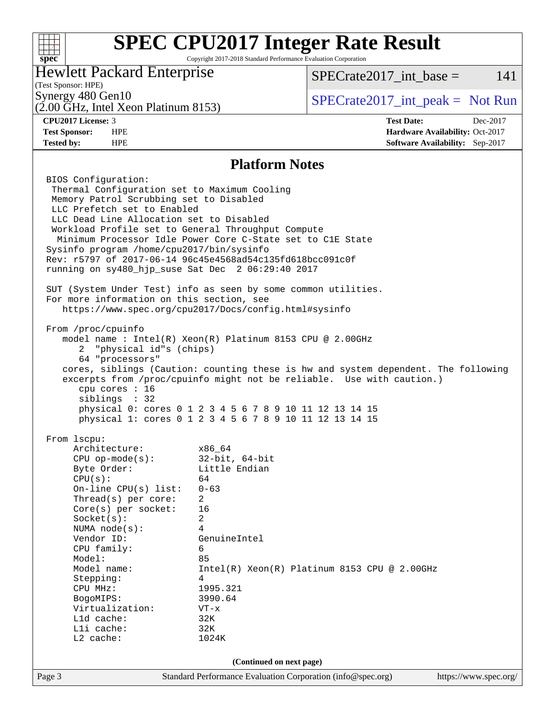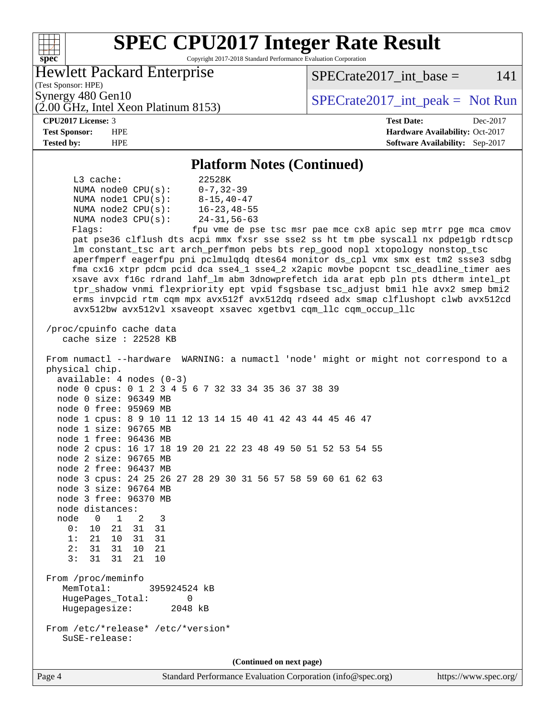#### **[SPEC CPU2017 Integer Rate Result](http://www.spec.org/auto/cpu2017/Docs/result-fields.html#SPECCPU2017IntegerRateResult)**  $+\!\!+\!\!$ **[spec](http://www.spec.org/)** Copyright 2017-2018 Standard Performance Evaluation Corporation Hewlett Packard Enterprise  $SPECrate2017\_int\_base = 141$ (Test Sponsor: HPE) Synergy 480 Gen10  $SPECrate2017$ \_int\_peak = Not Run (2.00 GHz, Intel Xeon Platinum 8153) **[CPU2017 License:](http://www.spec.org/auto/cpu2017/Docs/result-fields.html#CPU2017License)** 3 **[Test Date:](http://www.spec.org/auto/cpu2017/Docs/result-fields.html#TestDate)** Dec-2017 **[Test Sponsor:](http://www.spec.org/auto/cpu2017/Docs/result-fields.html#TestSponsor)** HPE **[Hardware Availability:](http://www.spec.org/auto/cpu2017/Docs/result-fields.html#HardwareAvailability)** Oct-2017 **[Tested by:](http://www.spec.org/auto/cpu2017/Docs/result-fields.html#Testedby)** HPE **[Software Availability:](http://www.spec.org/auto/cpu2017/Docs/result-fields.html#SoftwareAvailability)** Sep-2017 **[Platform Notes \(Continued\)](http://www.spec.org/auto/cpu2017/Docs/result-fields.html#PlatformNotes)** L3 cache: 22528K NUMA node0 CPU(s): 0-7,32-39 NUMA node1 CPU(s): 8-15,40-47 NUMA node2 CPU(s): 16-23,48-55 NUMA node3 CPU(s): 24-31,56-63 Flags: fpu vme de pse tsc msr pae mce cx8 apic sep mtrr pge mca cmov pat pse36 clflush dts acpi mmx fxsr sse sse2 ss ht tm pbe syscall nx pdpe1gb rdtscp lm constant\_tsc art arch\_perfmon pebs bts rep\_good nopl xtopology nonstop\_tsc aperfmperf eagerfpu pni pclmulqdq dtes64 monitor ds\_cpl vmx smx est tm2 ssse3 sdbg fma cx16 xtpr pdcm pcid dca sse4\_1 sse4\_2 x2apic movbe popcnt tsc\_deadline\_timer aes xsave avx f16c rdrand lahf\_lm abm 3dnowprefetch ida arat epb pln pts dtherm intel\_pt tpr\_shadow vnmi flexpriority ept vpid fsgsbase tsc\_adjust bmi1 hle avx2 smep bmi2 erms invpcid rtm cqm mpx avx512f avx512dq rdseed adx smap clflushopt clwb avx512cd avx512bw avx512vl xsaveopt xsavec xgetbv1 cqm\_llc cqm\_occup\_llc /proc/cpuinfo cache data cache size : 22528 KB From numactl --hardware WARNING: a numactl 'node' might or might not correspond to a physical chip. available: 4 nodes (0-3) node 0 cpus: 0 1 2 3 4 5 6 7 32 33 34 35 36 37 38 39 node 0 size: 96349 MB node 0 free: 95969 MB node 1 cpus: 8 9 10 11 12 13 14 15 40 41 42 43 44 45 46 47 node 1 size: 96765 MB node 1 free: 96436 MB node 2 cpus: 16 17 18 19 20 21 22 23 48 49 50 51 52 53 54 55 node 2 size: 96765 MB node 2 free: 96437 MB node 3 cpus: 24 25 26 27 28 29 30 31 56 57 58 59 60 61 62 63 node 3 size: 96764 MB node 3 free: 96370 MB node distances: node 0 1 2 3 0: 10 21 31 31 1: 21 10 31 31 2: 31 31 10 21 3: 31 31 21 10 From /proc/meminfo MemTotal: 395924524 kB HugePages\_Total: 0 Hugepagesize: 2048 kB From /etc/\*release\* /etc/\*version\* SuSE-release: **(Continued on next page)**

Page 4 Standard Performance Evaluation Corporation [\(info@spec.org\)](mailto:info@spec.org) <https://www.spec.org/>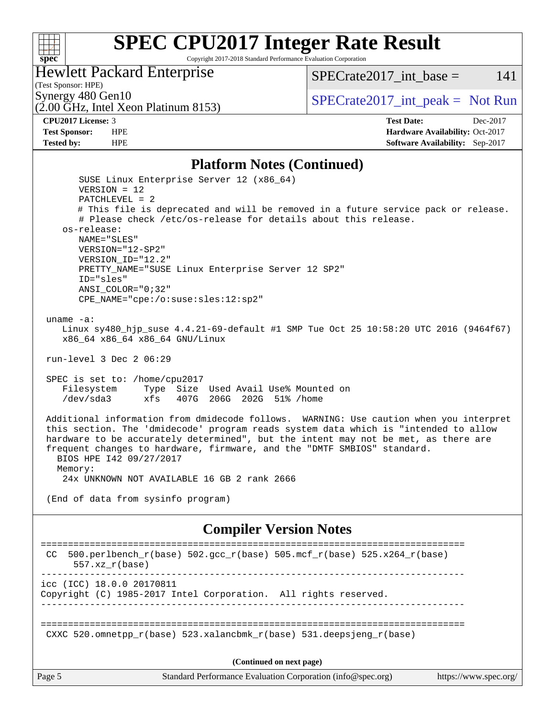

Copyright 2017-2018 Standard Performance Evaluation Corporation

#### (Test Sponsor: HPE) Hewlett Packard Enterprise

Synergy 480 Gen10<br>  $\overline{O}$  OO GHz, Intel Xeon Platinum 8153)<br>  $\overline{O}$  [SPECrate2017\\_int\\_peak =](http://www.spec.org/auto/cpu2017/Docs/result-fields.html#SPECrate2017intpeak) Not Run  $SPECTate2017\_int\_base = 141$ 

(2.00 GHz, Intel Xeon Platinum 8153)

**[Tested by:](http://www.spec.org/auto/cpu2017/Docs/result-fields.html#Testedby)** HPE **HPE [Software Availability:](http://www.spec.org/auto/cpu2017/Docs/result-fields.html#SoftwareAvailability)** Sep-2017

**[CPU2017 License:](http://www.spec.org/auto/cpu2017/Docs/result-fields.html#CPU2017License)** 3 **[Test Date:](http://www.spec.org/auto/cpu2017/Docs/result-fields.html#TestDate)** Dec-2017 **[Test Sponsor:](http://www.spec.org/auto/cpu2017/Docs/result-fields.html#TestSponsor)** HPE **[Hardware Availability:](http://www.spec.org/auto/cpu2017/Docs/result-fields.html#HardwareAvailability)** Oct-2017

#### [Platform Notes \(Continued\)](http://www.spec.org/auto/cpu2017/Docs/result-fields.html#PlatformNotes)

| I IAUVIIII INUUS (COMMUNUE                                                                                                                                                                                                                                                                                                                                                           |  |
|--------------------------------------------------------------------------------------------------------------------------------------------------------------------------------------------------------------------------------------------------------------------------------------------------------------------------------------------------------------------------------------|--|
| SUSE Linux Enterprise Server 12 (x86_64)                                                                                                                                                                                                                                                                                                                                             |  |
| $VERSION = 12$<br>$PATCHLEVEL = 2$                                                                                                                                                                                                                                                                                                                                                   |  |
| # This file is deprecated and will be removed in a future service pack or release.<br># Please check /etc/os-release for details about this release.                                                                                                                                                                                                                                 |  |
| os-release:                                                                                                                                                                                                                                                                                                                                                                          |  |
| NAME="SLES"                                                                                                                                                                                                                                                                                                                                                                          |  |
| VERSION="12-SP2"                                                                                                                                                                                                                                                                                                                                                                     |  |
| VERSION ID="12.2"                                                                                                                                                                                                                                                                                                                                                                    |  |
| PRETTY_NAME="SUSE Linux Enterprise Server 12 SP2"<br>ID="sles"                                                                                                                                                                                                                                                                                                                       |  |
| $ANSI$ _COLOR=" $0:32$ "                                                                                                                                                                                                                                                                                                                                                             |  |
| CPE_NAME="cpe:/o:suse:sles:12:sp2"                                                                                                                                                                                                                                                                                                                                                   |  |
| uname $-a$ :                                                                                                                                                                                                                                                                                                                                                                         |  |
| Linux sy480_hjp_suse 4.4.21-69-default #1 SMP Tue Oct 25 10:58:20 UTC 2016 (9464f67)                                                                                                                                                                                                                                                                                                 |  |
| x86_64 x86_64 x86_64 GNU/Linux                                                                                                                                                                                                                                                                                                                                                       |  |
| run-level 3 Dec 2 06:29                                                                                                                                                                                                                                                                                                                                                              |  |
|                                                                                                                                                                                                                                                                                                                                                                                      |  |
| SPEC is set to: /home/cpu2017<br>Filesystem<br>Type Size Used Avail Use% Mounted on                                                                                                                                                                                                                                                                                                  |  |
| /dev/sda3<br>xfs<br>407G 206G 202G 51% / home                                                                                                                                                                                                                                                                                                                                        |  |
| Additional information from dmidecode follows. WARNING: Use caution when you interpret<br>this section. The 'dmidecode' program reads system data which is "intended to allow<br>hardware to be accurately determined", but the intent may not be met, as there are<br>frequent changes to hardware, firmware, and the "DMTF SMBIOS" standard.<br>BIOS HPE 142 09/27/2017<br>Memory: |  |
| 24x UNKNOWN NOT AVAILABLE 16 GB 2 rank 2666                                                                                                                                                                                                                                                                                                                                          |  |
| (End of data from sysinfo program)                                                                                                                                                                                                                                                                                                                                                   |  |
| <b>Compiler Version Notes</b>                                                                                                                                                                                                                                                                                                                                                        |  |
| 500.perlbench_r(base) 502.gcc_r(base) 505.mcf_r(base) 525.x264_r(base)<br>CC<br>$557.xx$ $r(base)$                                                                                                                                                                                                                                                                                   |  |
| icc (ICC) 18.0.0 20170811<br>Copyright (C) 1985-2017 Intel Corporation. All rights reserved.                                                                                                                                                                                                                                                                                         |  |
|                                                                                                                                                                                                                                                                                                                                                                                      |  |
| CXXC 520.omnetpp_r(base) 523.xalancbmk_r(base) 531.deepsjeng_r(base)                                                                                                                                                                                                                                                                                                                 |  |
| (Continued on next page)                                                                                                                                                                                                                                                                                                                                                             |  |
| Standard Performance Evaluation Corporation (info@spec.org)<br>Page 5<br>https://www.spec.org/                                                                                                                                                                                                                                                                                       |  |
|                                                                                                                                                                                                                                                                                                                                                                                      |  |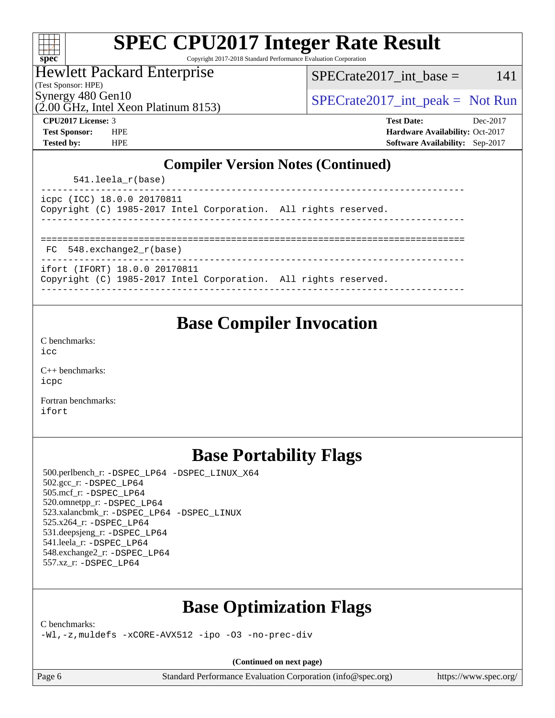| S,<br>N | Π | E |  |
|---------|---|---|--|

Copyright 2017-2018 Standard Performance Evaluation Corporation

Hewlett Packard Enterprise

(Test Sponsor: HPE)

Synergy 480 Gen10  $SPECrate2017$ \_int\_peak = Not Run

 $SPECTate2017\_int\_base = 141$ 

(2.00 GHz, Intel Xeon Platinum 8153)

**[CPU2017 License:](http://www.spec.org/auto/cpu2017/Docs/result-fields.html#CPU2017License)** 3 **[Test Date:](http://www.spec.org/auto/cpu2017/Docs/result-fields.html#TestDate)** Dec-2017 **[Test Sponsor:](http://www.spec.org/auto/cpu2017/Docs/result-fields.html#TestSponsor)** HPE **[Hardware Availability:](http://www.spec.org/auto/cpu2017/Docs/result-fields.html#HardwareAvailability)** Oct-2017 **[Tested by:](http://www.spec.org/auto/cpu2017/Docs/result-fields.html#Testedby)** HPE **[Software Availability:](http://www.spec.org/auto/cpu2017/Docs/result-fields.html#SoftwareAvailability)** Sep-2017

### **[Compiler Version Notes \(Continued\)](http://www.spec.org/auto/cpu2017/Docs/result-fields.html#CompilerVersionNotes)**

541.leela\_r(base)

|  | icpc (ICC) 18.0.0 20170811 |                                                                 |  |  |
|--|----------------------------|-----------------------------------------------------------------|--|--|
|  |                            | Copyright (C) 1985-2017 Intel Corporation. All rights reserved. |  |  |
|  |                            |                                                                 |  |  |

============================================================================== FC 548.exchange2\_r(base)

ifort (IFORT) 18.0.0 20170811

Copyright (C) 1985-2017 Intel Corporation. All rights reserved. ------------------------------------------------------------------------------

## **[Base Compiler Invocation](http://www.spec.org/auto/cpu2017/Docs/result-fields.html#BaseCompilerInvocation)**

[C benchmarks](http://www.spec.org/auto/cpu2017/Docs/result-fields.html#Cbenchmarks): [icc](http://www.spec.org/cpu2017/results/res2018q1/cpu2017-20171212-01887.flags.html#user_CCbase_intel_icc_18.0_66fc1ee009f7361af1fbd72ca7dcefbb700085f36577c54f309893dd4ec40d12360134090235512931783d35fd58c0460139e722d5067c5574d8eaf2b3e37e92)

[C++ benchmarks:](http://www.spec.org/auto/cpu2017/Docs/result-fields.html#CXXbenchmarks) [icpc](http://www.spec.org/cpu2017/results/res2018q1/cpu2017-20171212-01887.flags.html#user_CXXbase_intel_icpc_18.0_c510b6838c7f56d33e37e94d029a35b4a7bccf4766a728ee175e80a419847e808290a9b78be685c44ab727ea267ec2f070ec5dc83b407c0218cded6866a35d07)

[Fortran benchmarks](http://www.spec.org/auto/cpu2017/Docs/result-fields.html#Fortranbenchmarks): [ifort](http://www.spec.org/cpu2017/results/res2018q1/cpu2017-20171212-01887.flags.html#user_FCbase_intel_ifort_18.0_8111460550e3ca792625aed983ce982f94888b8b503583aa7ba2b8303487b4d8a21a13e7191a45c5fd58ff318f48f9492884d4413fa793fd88dd292cad7027ca)

# **[Base Portability Flags](http://www.spec.org/auto/cpu2017/Docs/result-fields.html#BasePortabilityFlags)**

 500.perlbench\_r: [-DSPEC\\_LP64](http://www.spec.org/cpu2017/results/res2018q1/cpu2017-20171212-01887.flags.html#b500.perlbench_r_basePORTABILITY_DSPEC_LP64) [-DSPEC\\_LINUX\\_X64](http://www.spec.org/cpu2017/results/res2018q1/cpu2017-20171212-01887.flags.html#b500.perlbench_r_baseCPORTABILITY_DSPEC_LINUX_X64) 502.gcc\_r: [-DSPEC\\_LP64](http://www.spec.org/cpu2017/results/res2018q1/cpu2017-20171212-01887.flags.html#suite_basePORTABILITY502_gcc_r_DSPEC_LP64) 505.mcf\_r: [-DSPEC\\_LP64](http://www.spec.org/cpu2017/results/res2018q1/cpu2017-20171212-01887.flags.html#suite_basePORTABILITY505_mcf_r_DSPEC_LP64) 520.omnetpp\_r: [-DSPEC\\_LP64](http://www.spec.org/cpu2017/results/res2018q1/cpu2017-20171212-01887.flags.html#suite_basePORTABILITY520_omnetpp_r_DSPEC_LP64) 523.xalancbmk\_r: [-DSPEC\\_LP64](http://www.spec.org/cpu2017/results/res2018q1/cpu2017-20171212-01887.flags.html#suite_basePORTABILITY523_xalancbmk_r_DSPEC_LP64) [-DSPEC\\_LINUX](http://www.spec.org/cpu2017/results/res2018q1/cpu2017-20171212-01887.flags.html#b523.xalancbmk_r_baseCXXPORTABILITY_DSPEC_LINUX) 525.x264\_r: [-DSPEC\\_LP64](http://www.spec.org/cpu2017/results/res2018q1/cpu2017-20171212-01887.flags.html#suite_basePORTABILITY525_x264_r_DSPEC_LP64) 531.deepsjeng\_r: [-DSPEC\\_LP64](http://www.spec.org/cpu2017/results/res2018q1/cpu2017-20171212-01887.flags.html#suite_basePORTABILITY531_deepsjeng_r_DSPEC_LP64) 541.leela\_r: [-DSPEC\\_LP64](http://www.spec.org/cpu2017/results/res2018q1/cpu2017-20171212-01887.flags.html#suite_basePORTABILITY541_leela_r_DSPEC_LP64) 548.exchange2\_r: [-DSPEC\\_LP64](http://www.spec.org/cpu2017/results/res2018q1/cpu2017-20171212-01887.flags.html#suite_basePORTABILITY548_exchange2_r_DSPEC_LP64) 557.xz\_r: [-DSPEC\\_LP64](http://www.spec.org/cpu2017/results/res2018q1/cpu2017-20171212-01887.flags.html#suite_basePORTABILITY557_xz_r_DSPEC_LP64)

# **[Base Optimization Flags](http://www.spec.org/auto/cpu2017/Docs/result-fields.html#BaseOptimizationFlags)**

[C benchmarks](http://www.spec.org/auto/cpu2017/Docs/result-fields.html#Cbenchmarks):

[-Wl,-z,muldefs](http://www.spec.org/cpu2017/results/res2018q1/cpu2017-20171212-01887.flags.html#user_CCbase_link_force_multiple1_b4cbdb97b34bdee9ceefcfe54f4c8ea74255f0b02a4b23e853cdb0e18eb4525ac79b5a88067c842dd0ee6996c24547a27a4b99331201badda8798ef8a743f577) [-xCORE-AVX512](http://www.spec.org/cpu2017/results/res2018q1/cpu2017-20171212-01887.flags.html#user_CCbase_f-xCORE-AVX512) [-ipo](http://www.spec.org/cpu2017/results/res2018q1/cpu2017-20171212-01887.flags.html#user_CCbase_f-ipo) [-O3](http://www.spec.org/cpu2017/results/res2018q1/cpu2017-20171212-01887.flags.html#user_CCbase_f-O3) [-no-prec-div](http://www.spec.org/cpu2017/results/res2018q1/cpu2017-20171212-01887.flags.html#user_CCbase_f-no-prec-div)

**(Continued on next page)**

Page 6 Standard Performance Evaluation Corporation [\(info@spec.org\)](mailto:info@spec.org) <https://www.spec.org/>